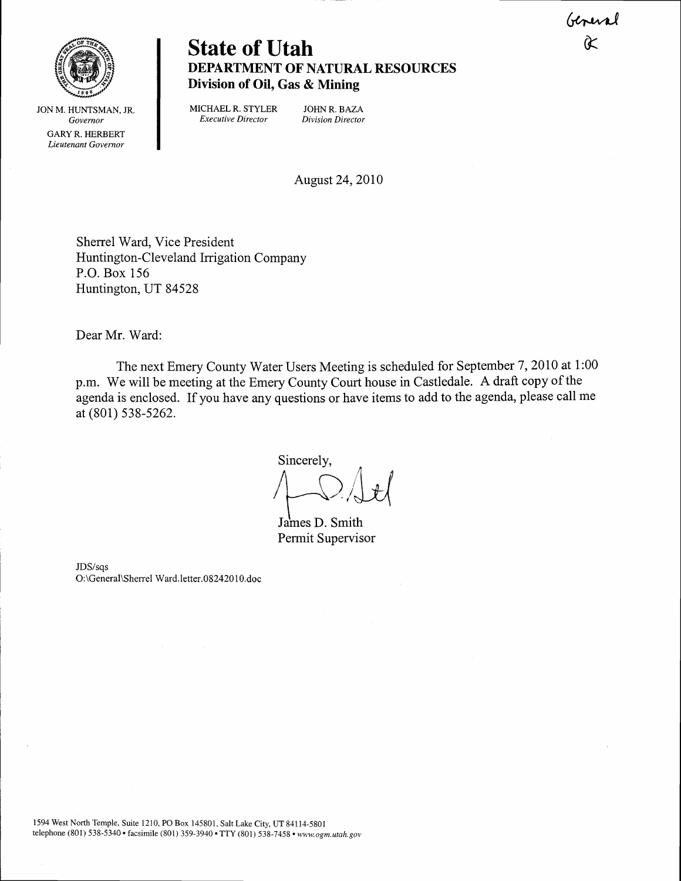

State of Utah DEPARTMENT OF NATURAL RESOURCES Division of Oil, Gas & Mining

JON M. HUNTSMAN. JR. Governor GARY R. HERBERT Lieutenant Governor

MICHAEL R. STYLER JOHN R. BAZA<br>Executive Director Division Director

Division Director

August 24,2010

Sherrel Ward, Vice President Huntington-Cleveland Irrigation Company P.O. Box 156 Huntington, UT 84528

Dear Mr. Ward:

The next Emery County Water Users Meeting is scheduled for September 7, 2010 at 1:00 p.m. We will be meeting at the Emery County Court house in Castledale. A draft copy of the agenda is enclosed. If you have any questions or have items to add to the agenda, please call me at (801) 538-5262.

Sincerely,  $10.11$ I

James D. Smith Permit Supervisor

JDS/sqs O:\General\Sherrel Ward.letter.08242010.doc